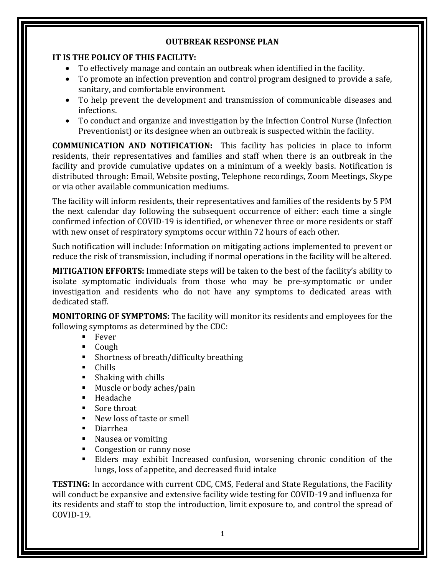## **IT IS THE POLICY OF THIS FACILITY:**

- To effectively manage and contain an outbreak when identified in the facility.
- To promote an infection prevention and control program designed to provide a safe, sanitary, and comfortable environment.
- To help prevent the development and transmission of communicable diseases and infections.
- To conduct and organize and investigation by the Infection Control Nurse (Infection Preventionist) or its designee when an outbreak is suspected within the facility.

**COMMUNICATION AND NOTIFICATION:** This facility has policies in place to inform residents, their representatives and families and staff when there is an outbreak in the facility and provide cumulative updates on a minimum of a weekly basis. Notification is distributed through: Email, Website posting, Telephone recordings, Zoom Meetings, Skype or via other available communication mediums.

The facility will inform residents, their representatives and families of the residents by 5 PM the next calendar day following the subsequent occurrence of either: each time a single confirmed infection of COVID-19 is identified, or whenever three or more residents or staff with new onset of respiratory symptoms occur within 72 hours of each other.

Such notification will include: Information on mitigating actions implemented to prevent or reduce the risk of transmission, including if normal operations in the facility will be altered.

**MITIGATION EFFORTS:** Immediate steps will be taken to the best of the facility's ability to isolate symptomatic individuals from those who may be pre-symptomatic or under investigation and residents who do not have any symptoms to dedicated areas with dedicated staff.

**MONITORING OF SYMPTOMS:** The facility will monitor its residents and employees for the following symptoms as determined by the CDC:

- $F<sub>ever</sub>$
- Cough
- Shortness of breath/difficulty breathing
- **Chills**
- $\blacksquare$  Shaking with chills
- **Muscle or body aches/pain**
- $H$ eadache
- Sore throat
- New loss of taste or smell
- Diarrhea
- Nausea or vomiting
- Congestion or runny nose
- Elders may exhibit Increased confusion, worsening chronic condition of the lungs, loss of appetite, and decreased fluid intake

**TESTING:** In accordance with current CDC, CMS, Federal and State Regulations, the Facility will conduct be expansive and extensive facility wide testing for COVID-19 and influenza for its residents and staff to stop the introduction, limit exposure to, and control the spread of COVID-19.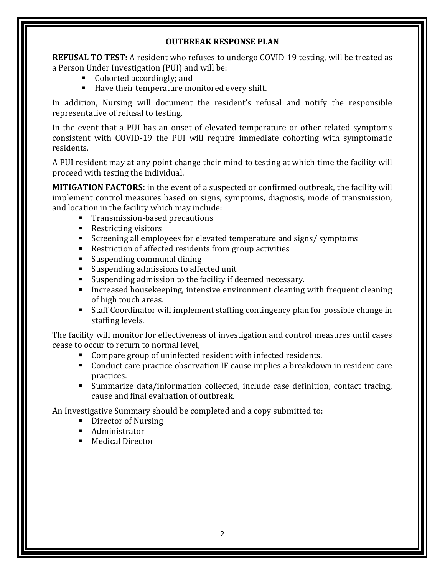**REFUSAL TO TEST:** A resident who refuses to undergo COVID-19 testing, will be treated as a Person Under Investigation (PUI) and will be:

- Cohorted accordingly; and
- Have their temperature monitored every shift.

In addition, Nursing will document the resident's refusal and notify the responsible representative of refusal to testing.

In the event that a PUI has an onset of elevated temperature or other related symptoms consistent with COVID-19 the PUI will require immediate cohorting with symptomatic residents.

A PUI resident may at any point change their mind to testing at which time the facility will proceed with testing the individual.

**MITIGATION FACTORS:** in the event of a suspected or confirmed outbreak, the facility will implement control measures based on signs, symptoms, diagnosis, mode of transmission, and location in the facility which may include:

- **Transmission-based precautions**
- Restricting visitors
- Screening all employees for elevated temperature and signs/ symptoms
- Restriction of affected residents from group activities
- Suspending communal dining
- Suspending admissions to affected unit
- Suspending admission to the facility if deemed necessary.
- Increased housekeeping, intensive environment cleaning with frequent cleaning of high touch areas.
- Staff Coordinator will implement staffing contingency plan for possible change in staffing levels.

The facility will monitor for effectiveness of investigation and control measures until cases cease to occur to return to normal level,

- Compare group of uninfected resident with infected residents.
- Conduct care practice observation IF cause implies a breakdown in resident care practices.
- Summarize data/information collected, include case definition, contact tracing, cause and final evaluation of outbreak.

An Investigative Summary should be completed and a copy submitted to:

- Director of Nursing
- Administrator
- Medical Director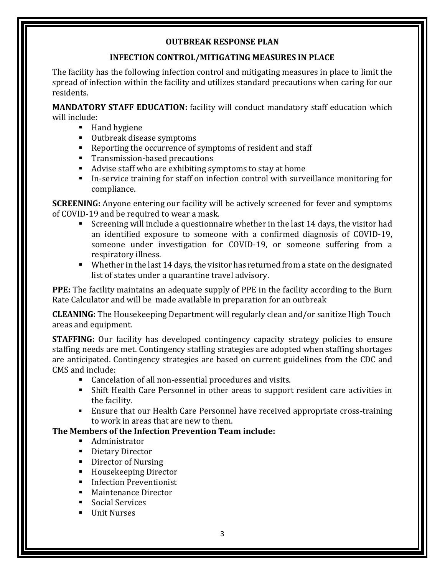## **INFECTION CONTROL/MITIGATING MEASURES IN PLACE**

The facility has the following infection control and mitigating measures in place to limit the spread of infection within the facility and utilizes standard precautions when caring for our residents.

**MANDATORY STAFF EDUCATION:** facility will conduct mandatory staff education which will include:

- Hand hygiene
- Outbreak disease symptoms
- Reporting the occurrence of symptoms of resident and staff
- **Transmission-based precautions**
- Advise staff who are exhibiting symptoms to stay at home
- In-service training for staff on infection control with surveillance monitoring for compliance.

**SCREENING:** Anyone entering our facility will be actively screened for fever and symptoms of COVID-19 and be required to wear a mask.

- Screening will include a questionnaire whether in the last 14 days, the visitor had an identified exposure to someone with a confirmed diagnosis of COVID-19, someone under investigation for COVID-19, or someone suffering from a respiratory illness.
- Whether in the last 14 days, the visitor has returned from a state on the designated list of states under a quarantine travel advisory.

**PPE:** The facility maintains an adequate supply of PPE in the facility according to the Burn Rate Calculator and will be made available in preparation for an outbreak

**CLEANING:** The Housekeeping Department will regularly clean and/or sanitize High Touch areas and equipment.

**STAFFING:** Our facility has developed contingency capacity strategy policies to ensure staffing needs are met. Contingency staffing strategies are adopted when staffing shortages are anticipated. Contingency strategies are based on current guidelines from the CDC and CMS and include:

- Cancelation of all non-essential procedures and visits.
- Shift Health Care Personnel in other areas to support resident care activities in the facility.
- Ensure that our Health Care Personnel have received appropriate cross-training to work in areas that are new to them.

# **The Members of the Infection Prevention Team include:**

- Administrator
- Dietary Director
- Director of Nursing
- Housekeeping Director
- **Infection Preventionist**
- Maintenance Director
- Social Services
- **Unit Nurses**